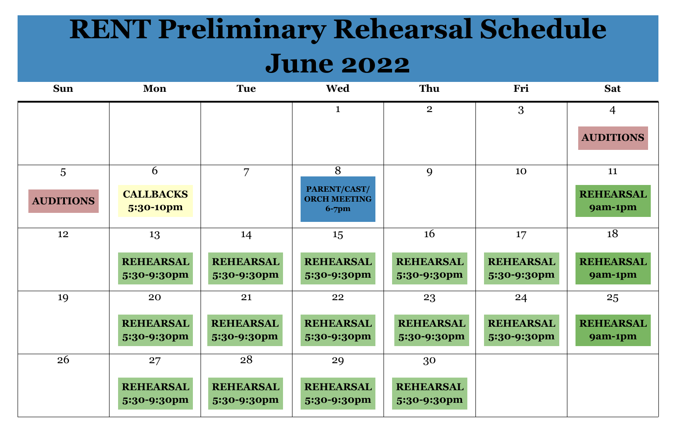## **RENT Preliminary Rehearsal Schedule June 2022**

| <b>Sun</b>       | Mon                             | <b>Tue</b>                      | <b>Wed</b>                                        | Thu                             | Fri                             | <b>Sat</b>                    |
|------------------|---------------------------------|---------------------------------|---------------------------------------------------|---------------------------------|---------------------------------|-------------------------------|
|                  |                                 |                                 | $\mathbf 1$                                       | $\overline{2}$                  | 3                               | $\overline{4}$                |
|                  |                                 |                                 |                                                   |                                 |                                 | <b>AUDITI</b>                 |
| 5                | 6                               | $\overline{7}$                  | 8                                                 | 9                               | 10                              | 11                            |
| <b>AUDITIONS</b> | <b>CALLBACKS</b><br>5:30-10pm   |                                 | PARENT/CAST/<br><b>ORCH MEETING</b><br>$6 - 7$ pm |                                 |                                 | <b>REHEAF</b><br><b>9am-1</b> |
| 12               | 13                              | 14                              | 15                                                | <b>16</b>                       | 17                              | 18                            |
|                  | <b>REHEARSAL</b><br>5:30-9:30pm | <b>REHEARSAL</b><br>5:30-9:30pm | <b>REHEARSAL</b><br>5:30-9:30pm                   | <b>REHEARSAL</b><br>5:30-9:30pm | <b>REHEARSAL</b><br>5:30-9:30pm | <b>REHEAF</b><br><b>9am-1</b> |
| 19               | 20                              | 21                              | 22                                                | 23                              | 24                              | 25                            |
|                  | <b>REHEARSAL</b><br>5:30-9:30pm | <b>REHEARSAL</b><br>5:30-9:30pm | <b>REHEARSAL</b><br>5:30-9:30pm                   | <b>REHEARSAL</b><br>5:30-9:30pm | <b>REHEARSAL</b><br>5:30-9:30pm | <b>REHEAF</b><br><b>9am-1</b> |
| 26               | 27                              | 28                              | 29                                                | 30                              |                                 |                               |
|                  | <b>REHEARSAL</b><br>5:30-9:30pm | <b>REHEARSAL</b><br>5:30-9:30pm | <b>REHEARSAL</b><br>5:30-9:30pm                   | <b>REHEARSAL</b><br>5:30-9:30pm |                                 |                               |



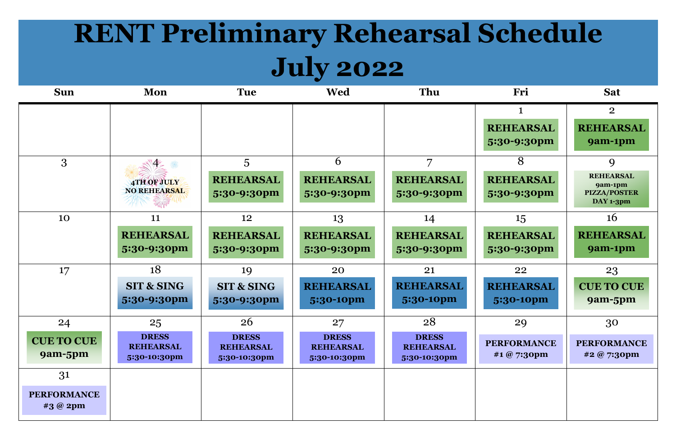## **RENT Preliminary Rehearsal Schedule July 2022**

| <b>Sun</b>                          | Mon                                                    | <b>Tue</b>                                             | <b>Wed</b>                                             | Thu                                                    | Fri                                     | <b>Sat</b>                                                    |
|-------------------------------------|--------------------------------------------------------|--------------------------------------------------------|--------------------------------------------------------|--------------------------------------------------------|-----------------------------------------|---------------------------------------------------------------|
|                                     |                                                        |                                                        |                                                        |                                                        | 1<br><b>REHEARSAL</b><br>5:30-9:30pm    | $\overline{2}$<br><b>REHEARSAL</b><br>9am-1pm                 |
| 3                                   | 4TH OF JULY<br>NO REHEARSAL                            | 5<br><b>REHEARSAL</b><br>5:30-9:30pm                   | 6<br><b>REHEARSAL</b><br>5:30-9:30pm                   | 7<br><b>REHEARSAL</b><br>5:30-9:30pm                   | 8<br><b>REHEARSAL</b><br>5:30-9:30pm    | 9<br><b>REHEARSAL</b><br>9am-1pm<br>PIZZA/POSTER<br>DAY 1-3pm |
| 10                                  | 11<br><b>REHEARSAL</b><br>5:30-9:30pm                  | 12<br><b>REHEARSAL</b><br>5:30-9:30pm                  | 13<br><b>REHEARSAL</b><br>5:30-9:30pm                  | 14<br><b>REHEARSAL</b><br>5:30-9:30pm                  | 15<br><b>REHEARSAL</b><br>5:30-9:30pm   | <b>16</b><br><b>REHEARSAL</b><br>9am-1pm                      |
| 17                                  | 18<br><b>SIT &amp; SING</b><br>5:30-9:30pm             | 19<br><b>SIT &amp; SING</b><br>5:30-9:30pm             | 20<br><b>REHEARSAL</b><br>5:30-10pm                    | 21<br><b>REHEARSAL</b><br>5:30-10pm                    | 22<br><b>REHEARSAL</b><br>5:30-10pm     | 23<br><b>CUE TO CUE</b><br>9am-5pm                            |
| 24<br><b>CUE TO CUE</b><br>9am-5pm  | 25<br><b>DRESS</b><br><b>REHEARSAL</b><br>5:30-10:30pm | 26<br><b>DRESS</b><br><b>REHEARSAL</b><br>5:30-10:30pm | 27<br><b>DRESS</b><br><b>REHEARSAL</b><br>5:30-10:30pm | 28<br><b>DRESS</b><br><b>REHEARSAL</b><br>5:30-10:30pm | 29<br><b>PERFORMANCE</b><br>#1 @ 7:30pm | 30<br><b>PERFORMANCE</b><br>#2 @ 7:30pm                       |
| 31<br><b>PERFORMANCE</b><br>#3@ 2pm |                                                        |                                                        |                                                        |                                                        |                                         |                                                               |